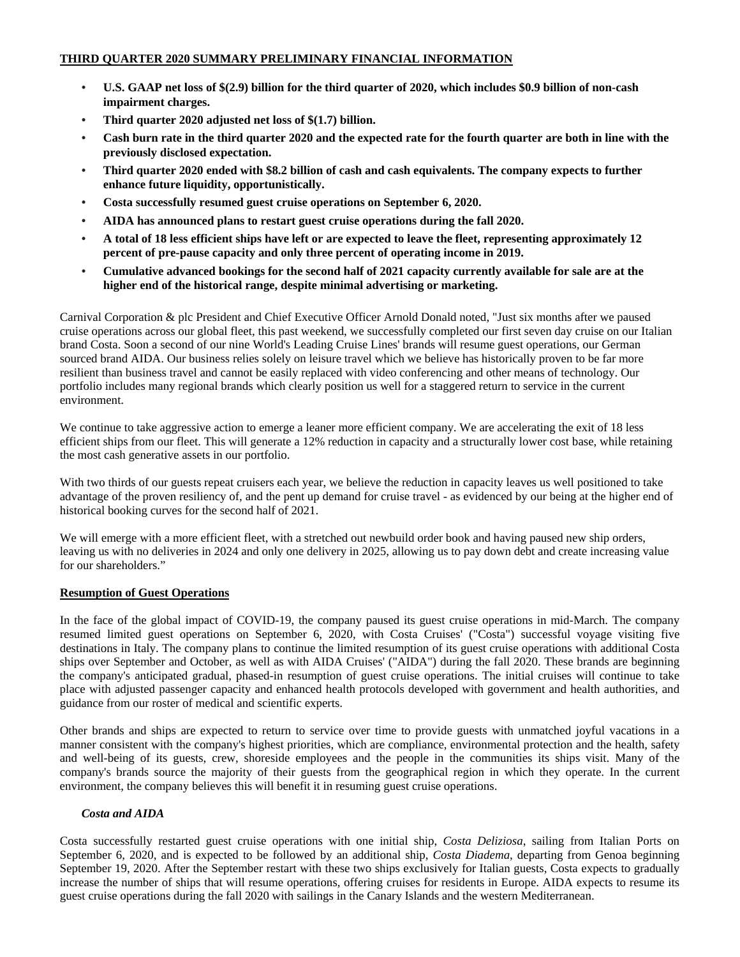- **• U.S. GAAP net loss of \$(2.9) billion for the third quarter of 2020, which includes \$0.9 billion of non-cash impairment charges.**
- **• Third quarter 2020 adjusted net loss of \$(1.7) billion.**
- **• Cash burn rate in the third quarter 2020 and the expected rate for the fourth quarter are both in line with the previously disclosed expectation.**
- **• Third quarter 2020 ended with \$8.2 billion of cash and cash equivalents. The company expects to further enhance future liquidity, opportunistically.**
- **• Costa successfully resumed guest cruise operations on September 6, 2020.**
- **• AIDA has announced plans to restart guest cruise operations during the fall 2020.**
- **• A total of 18 less efficient ships have left or are expected to leave the fleet, representing approximately 12 percent of pre-pause capacity and only three percent of operating income in 2019.**
- **• Cumulative advanced bookings for the second half of 2021 capacity currently available for sale are at the higher end of the historical range, despite minimal advertising or marketing.**

Carnival Corporation & plc President and Chief Executive Officer Arnold Donald noted, "Just six months after we paused cruise operations across our global fleet, this past weekend, we successfully completed our first seven day cruise on our Italian brand Costa. Soon a second of our nine World's Leading Cruise Lines' brands will resume guest operations, our German sourced brand AIDA. Our business relies solely on leisure travel which we believe has historically proven to be far more resilient than business travel and cannot be easily replaced with video conferencing and other means of technology. Our portfolio includes many regional brands which clearly position us well for a staggered return to service in the current environment.

We continue to take aggressive action to emerge a leaner more efficient company. We are accelerating the exit of 18 less efficient ships from our fleet. This will generate a 12% reduction in capacity and a structurally lower cost base, while retaining the most cash generative assets in our portfolio.

With two thirds of our guests repeat cruisers each year, we believe the reduction in capacity leaves us well positioned to take advantage of the proven resiliency of, and the pent up demand for cruise travel - as evidenced by our being at the higher end of historical booking curves for the second half of 2021.

We will emerge with a more efficient fleet, with a stretched out newbuild order book and having paused new ship orders, leaving us with no deliveries in 2024 and only one delivery in 2025, allowing us to pay down debt and create increasing value for our shareholders."

### **Resumption of Guest Operations**

In the face of the global impact of COVID-19, the company paused its guest cruise operations in mid-March. The company resumed limited guest operations on September 6, 2020, with Costa Cruises' ("Costa") successful voyage visiting five destinations in Italy. The company plans to continue the limited resumption of its guest cruise operations with additional Costa ships over September and October, as well as with AIDA Cruises' ("AIDA") during the fall 2020. These brands are beginning the company's anticipated gradual, phased-in resumption of guest cruise operations. The initial cruises will continue to take place with adjusted passenger capacity and enhanced health protocols developed with government and health authorities, and guidance from our roster of medical and scientific experts.

Other brands and ships are expected to return to service over time to provide guests with unmatched joyful vacations in a manner consistent with the company's highest priorities, which are compliance, environmental protection and the health, safety and well-being of its guests, crew, shoreside employees and the people in the communities its ships visit. Many of the company's brands source the majority of their guests from the geographical region in which they operate. In the current environment, the company believes this will benefit it in resuming guest cruise operations.

### *Costa and AIDA*

Costa successfully restarted guest cruise operations with one initial ship, *Costa Deliziosa*, sailing from Italian Ports on September 6, 2020, and is expected to be followed by an additional ship, *Costa Diadema*, departing from Genoa beginning September 19, 2020. After the September restart with these two ships exclusively for Italian guests, Costa expects to gradually increase the number of ships that will resume operations, offering cruises for residents in Europe. AIDA expects to resume its guest cruise operations during the fall 2020 with sailings in the Canary Islands and the western Mediterranean.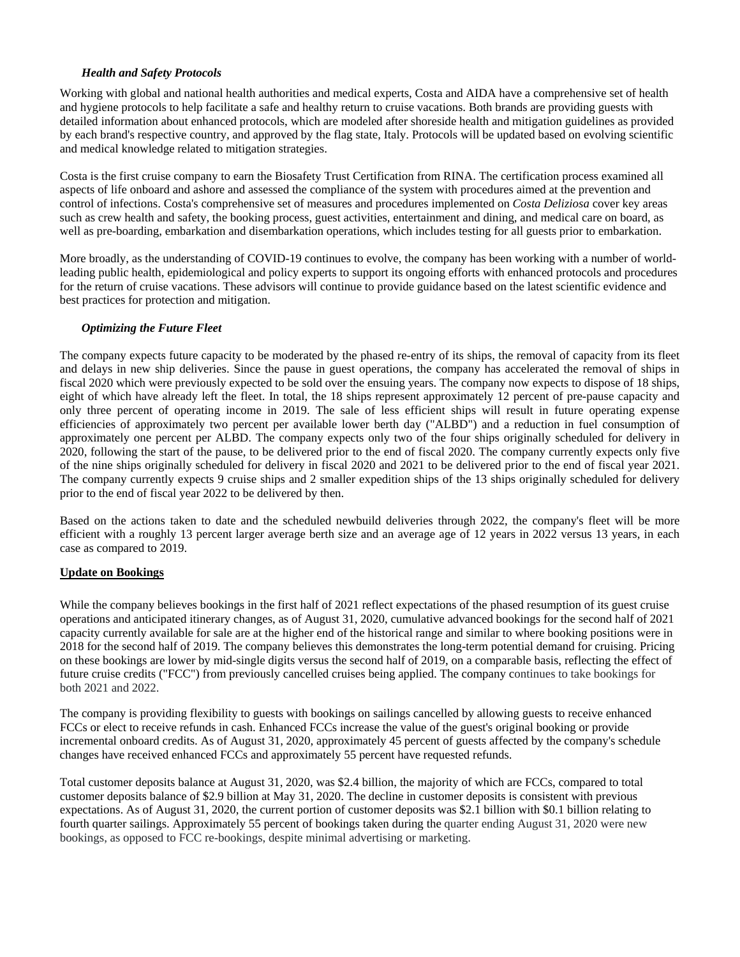# *Health and Safety Protocols*

Working with global and national health authorities and medical experts, Costa and AIDA have a comprehensive set of health and hygiene protocols to help facilitate a safe and healthy return to cruise vacations. Both brands are providing guests with detailed information about enhanced protocols, which are modeled after shoreside health and mitigation guidelines as provided by each brand's respective country, and approved by the flag state, Italy. Protocols will be updated based on evolving scientific and medical knowledge related to mitigation strategies.

Costa is the first cruise company to earn the Biosafety Trust Certification from RINA. The certification process examined all aspects of life onboard and ashore and assessed the compliance of the system with procedures aimed at the prevention and control of infections. Costa's comprehensive set of measures and procedures implemented on *Costa Deliziosa* cover key areas such as crew health and safety, the booking process, guest activities, entertainment and dining, and medical care on board, as well as pre-boarding, embarkation and disembarkation operations, which includes testing for all guests prior to embarkation.

More broadly, as the understanding of COVID-19 continues to evolve, the company has been working with a number of worldleading public health, epidemiological and policy experts to support its ongoing efforts with enhanced protocols and procedures for the return of cruise vacations. These advisors will continue to provide guidance based on the latest scientific evidence and best practices for protection and mitigation.

## *Optimizing the Future Fleet*

The company expects future capacity to be moderated by the phased re-entry of its ships, the removal of capacity from its fleet and delays in new ship deliveries. Since the pause in guest operations, the company has accelerated the removal of ships in fiscal 2020 which were previously expected to be sold over the ensuing years. The company now expects to dispose of 18 ships, eight of which have already left the fleet. In total, the 18 ships represent approximately 12 percent of pre-pause capacity and only three percent of operating income in 2019. The sale of less efficient ships will result in future operating expense efficiencies of approximately two percent per available lower berth day ("ALBD") and a reduction in fuel consumption of approximately one percent per ALBD. The company expects only two of the four ships originally scheduled for delivery in 2020, following the start of the pause, to be delivered prior to the end of fiscal 2020. The company currently expects only five of the nine ships originally scheduled for delivery in fiscal 2020 and 2021 to be delivered prior to the end of fiscal year 2021. The company currently expects 9 cruise ships and 2 smaller expedition ships of the 13 ships originally scheduled for delivery prior to the end of fiscal year 2022 to be delivered by then.

Based on the actions taken to date and the scheduled newbuild deliveries through 2022, the company's fleet will be more efficient with a roughly 13 percent larger average berth size and an average age of 12 years in 2022 versus 13 years, in each case as compared to 2019.

## **Update on Bookings**

While the company believes bookings in the first half of 2021 reflect expectations of the phased resumption of its guest cruise operations and anticipated itinerary changes, as of August 31, 2020, cumulative advanced bookings for the second half of 2021 capacity currently available for sale are at the higher end of the historical range and similar to where booking positions were in 2018 for the second half of 2019. The company believes this demonstrates the long-term potential demand for cruising. Pricing on these bookings are lower by mid-single digits versus the second half of 2019, on a comparable basis, reflecting the effect of future cruise credits ("FCC") from previously cancelled cruises being applied. The company continues to take bookings for both 2021 and 2022.

The company is providing flexibility to guests with bookings on sailings cancelled by allowing guests to receive enhanced FCCs or elect to receive refunds in cash. Enhanced FCCs increase the value of the guest's original booking or provide incremental onboard credits. As of August 31, 2020, approximately 45 percent of guests affected by the company's schedule changes have received enhanced FCCs and approximately 55 percent have requested refunds.

Total customer deposits balance at August 31, 2020, was \$2.4 billion, the majority of which are FCCs, compared to total customer deposits balance of \$2.9 billion at May 31, 2020. The decline in customer deposits is consistent with previous expectations. As of August 31, 2020, the current portion of customer deposits was \$2.1 billion with \$0.1 billion relating to fourth quarter sailings. Approximately 55 percent of bookings taken during the quarter ending August 31, 2020 were new bookings, as opposed to FCC re-bookings, despite minimal advertising or marketing.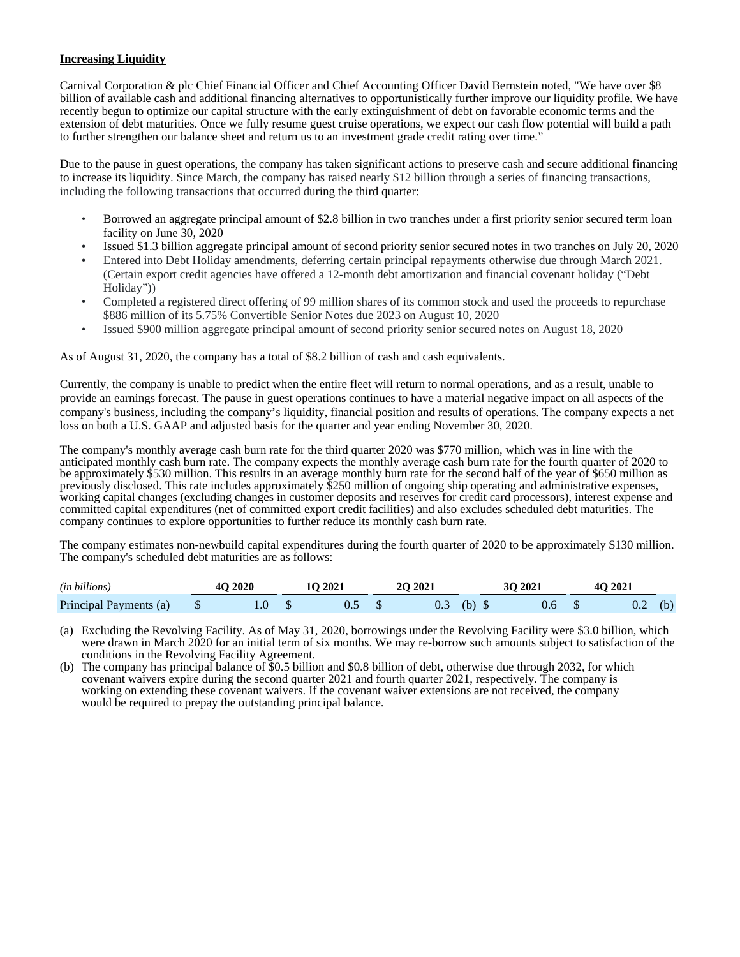### **Increasing Liquidity**

Carnival Corporation & plc Chief Financial Officer and Chief Accounting Officer David Bernstein noted, "We have over \$8 billion of available cash and additional financing alternatives to opportunistically further improve our liquidity profile. We have recently begun to optimize our capital structure with the early extinguishment of debt on favorable economic terms and the extension of debt maturities. Once we fully resume guest cruise operations, we expect our cash flow potential will build a path to further strengthen our balance sheet and return us to an investment grade credit rating over time."

Due to the pause in guest operations, the company has taken significant actions to preserve cash and secure additional financing to increase its liquidity. Since March, the company has raised nearly \$12 billion through a series of financing transactions, including the following transactions that occurred during the third quarter:

- Borrowed an aggregate principal amount of \$2.8 billion in two tranches under a first priority senior secured term loan facility on June 30, 2020
- Issued \$1.3 billion aggregate principal amount of second priority senior secured notes in two tranches on July 20, 2020
- Entered into Debt Holiday amendments, deferring certain principal repayments otherwise due through March 2021. (Certain export credit agencies have offered a 12-month debt amortization and financial covenant holiday ("Debt Holiday"))
- Completed a registered direct offering of 99 million shares of its common stock and used the proceeds to repurchase \$886 million of its 5.75% Convertible Senior Notes due 2023 on August 10, 2020
- Issued \$900 million aggregate principal amount of second priority senior secured notes on August 18, 2020

As of August 31, 2020, the company has a total of \$8.2 billion of cash and cash equivalents.

Currently, the company is unable to predict when the entire fleet will return to normal operations, and as a result, unable to provide an earnings forecast. The pause in guest operations continues to have a material negative impact on all aspects of the company's business, including the company's liquidity, financial position and results of operations. The company expects a net loss on both a U.S. GAAP and adjusted basis for the quarter and year ending November 30, 2020.

The company's monthly average cash burn rate for the third quarter 2020 was \$770 million, which was in line with the anticipated monthly cash burn rate. The company expects the monthly average cash burn rate for the fourth quarter of 2020 to be approximately \$530 million. This results in an average monthly burn rate for the second half of the year of \$650 million as previously disclosed. This rate includes approximately \$250 million of ongoing ship operating and administrative expenses, working capital changes (excluding changes in customer deposits and reserves for credit card processors), interest expense and committed capital expenditures (net of committed export credit facilities) and also excludes scheduled debt maturities. The company continues to explore opportunities to further reduce its monthly cash burn rate.

The company estimates non-newbuild capital expenditures during the fourth quarter of 2020 to be approximately \$130 million. The company's scheduled debt maturities are as follows:

| ( <i>in billions</i> ) | <b>4O 2020</b> |  | 10 2021 |  | <b>20 20 21</b> | 30 2021 |     |  | <b>40 2021</b> |     |  |
|------------------------|----------------|--|---------|--|-----------------|---------|-----|--|----------------|-----|--|
| Principal Payments (a) |                |  |         |  | 0.3             | $(b)$ . | 0.6 |  | 0.2            | (b) |  |

(a) Excluding the Revolving Facility. As of May 31, 2020, borrowings under the Revolving Facility were \$3.0 billion, which were drawn in March 2020 for an initial term of six months. We may re-borrow such amounts subject to satisfaction of the conditions in the Revolving Facility Agreement.

(b) The company has principal balance of \$0.5 billion and \$0.8 billion of debt, otherwise due through 2032, for which covenant waivers expire during the second quarter 2021 and fourth quarter 2021, respectively. The company is working on extending these covenant waivers. If the covenant waiver extensions are not received, the company would be required to prepay the outstanding principal balance.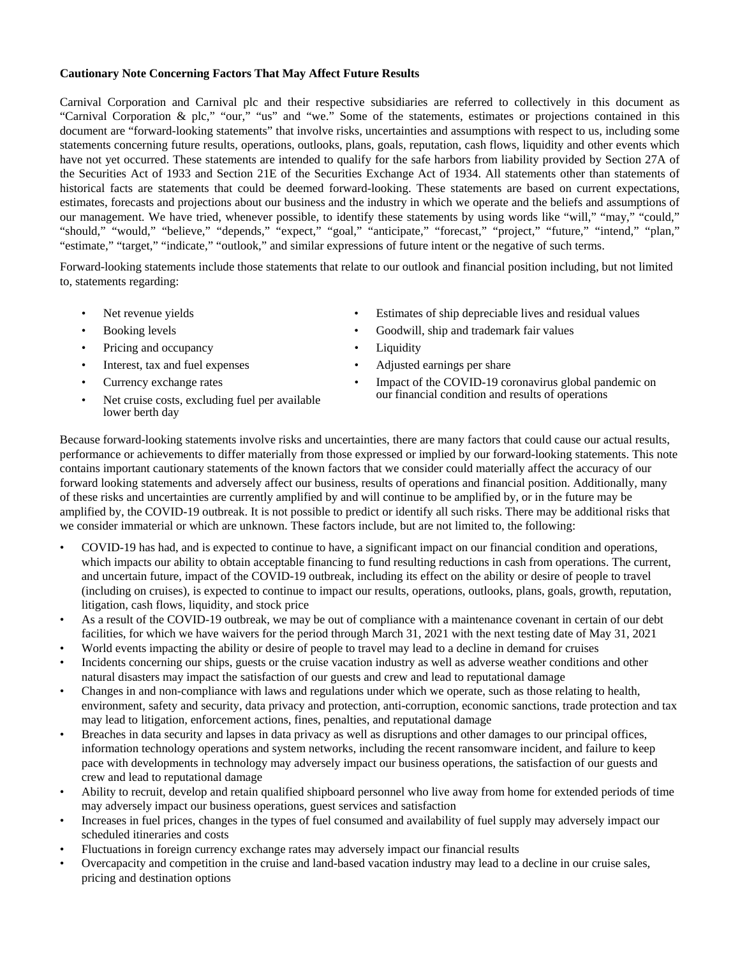# **Cautionary Note Concerning Factors That May Affect Future Results**

Carnival Corporation and Carnival plc and their respective subsidiaries are referred to collectively in this document as "Carnival Corporation & plc," "our," "us" and "we." Some of the statements, estimates or projections contained in this document are "forward-looking statements" that involve risks, uncertainties and assumptions with respect to us, including some statements concerning future results, operations, outlooks, plans, goals, reputation, cash flows, liquidity and other events which have not yet occurred. These statements are intended to qualify for the safe harbors from liability provided by Section 27A of the Securities Act of 1933 and Section 21E of the Securities Exchange Act of 1934. All statements other than statements of historical facts are statements that could be deemed forward-looking. These statements are based on current expectations, estimates, forecasts and projections about our business and the industry in which we operate and the beliefs and assumptions of our management. We have tried, whenever possible, to identify these statements by using words like "will," "may," "could," "should," "would," "believe," "depends," "expect," "goal," "anticipate," "forecast," "project," "future," "intend," "plan," "estimate," "target," "indicate," "outlook," and similar expressions of future intent or the negative of such terms.

Forward-looking statements include those statements that relate to our outlook and financial position including, but not limited to, statements regarding:

- 
- 
- Pricing and occupancy Liquidity
- Interest, tax and fuel expenses Adjusted earnings per share
- 
- lower berth day
- Net revenue yields Estimates of ship depreciable lives and residual values
	- Booking levels Goodwill, ship and trademark fair values
		-
		-
	- Currency exchange rates Impact of the COVID-19 coronavirus global pandemic on our financial condition and results of operations • Net cruise costs, excluding fuel per available

Because forward-looking statements involve risks and uncertainties, there are many factors that could cause our actual results, performance or achievements to differ materially from those expressed or implied by our forward-looking statements. This note contains important cautionary statements of the known factors that we consider could materially affect the accuracy of our forward looking statements and adversely affect our business, results of operations and financial position. Additionally, many of these risks and uncertainties are currently amplified by and will continue to be amplified by, or in the future may be amplified by, the COVID-19 outbreak. It is not possible to predict or identify all such risks. There may be additional risks that we consider immaterial or which are unknown. These factors include, but are not limited to, the following:

- COVID-19 has had, and is expected to continue to have, a significant impact on our financial condition and operations, which impacts our ability to obtain acceptable financing to fund resulting reductions in cash from operations. The current, and uncertain future, impact of the COVID-19 outbreak, including its effect on the ability or desire of people to travel (including on cruises), is expected to continue to impact our results, operations, outlooks, plans, goals, growth, reputation, litigation, cash flows, liquidity, and stock price
- As a result of the COVID-19 outbreak, we may be out of compliance with a maintenance covenant in certain of our debt facilities, for which we have waivers for the period through March 31, 2021 with the next testing date of May 31, 2021
- World events impacting the ability or desire of people to travel may lead to a decline in demand for cruises
- Incidents concerning our ships, guests or the cruise vacation industry as well as adverse weather conditions and other natural disasters may impact the satisfaction of our guests and crew and lead to reputational damage
- Changes in and non-compliance with laws and regulations under which we operate, such as those relating to health, environment, safety and security, data privacy and protection, anti-corruption, economic sanctions, trade protection and tax may lead to litigation, enforcement actions, fines, penalties, and reputational damage
- Breaches in data security and lapses in data privacy as well as disruptions and other damages to our principal offices, information technology operations and system networks, including the recent ransomware incident, and failure to keep pace with developments in technology may adversely impact our business operations, the satisfaction of our guests and crew and lead to reputational damage
- Ability to recruit, develop and retain qualified shipboard personnel who live away from home for extended periods of time may adversely impact our business operations, guest services and satisfaction
- Increases in fuel prices, changes in the types of fuel consumed and availability of fuel supply may adversely impact our scheduled itineraries and costs
- Fluctuations in foreign currency exchange rates may adversely impact our financial results
- Overcapacity and competition in the cruise and land-based vacation industry may lead to a decline in our cruise sales, pricing and destination options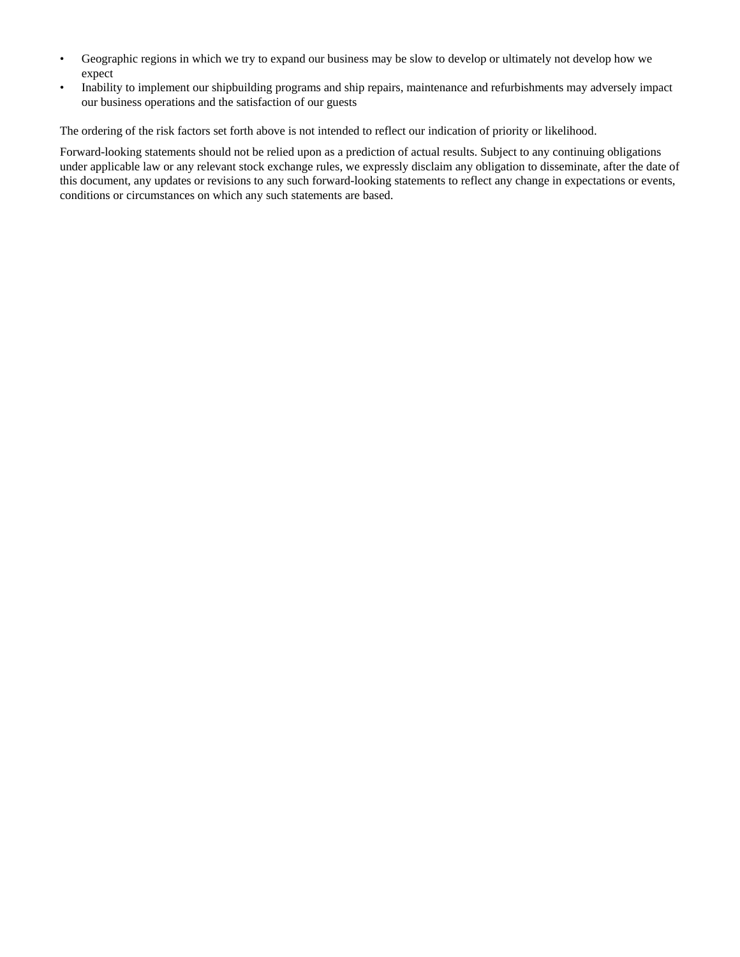- Geographic regions in which we try to expand our business may be slow to develop or ultimately not develop how we expect
- Inability to implement our shipbuilding programs and ship repairs, maintenance and refurbishments may adversely impact our business operations and the satisfaction of our guests

The ordering of the risk factors set forth above is not intended to reflect our indication of priority or likelihood.

Forward-looking statements should not be relied upon as a prediction of actual results. Subject to any continuing obligations under applicable law or any relevant stock exchange rules, we expressly disclaim any obligation to disseminate, after the date of this document, any updates or revisions to any such forward-looking statements to reflect any change in expectations or events, conditions or circumstances on which any such statements are based.